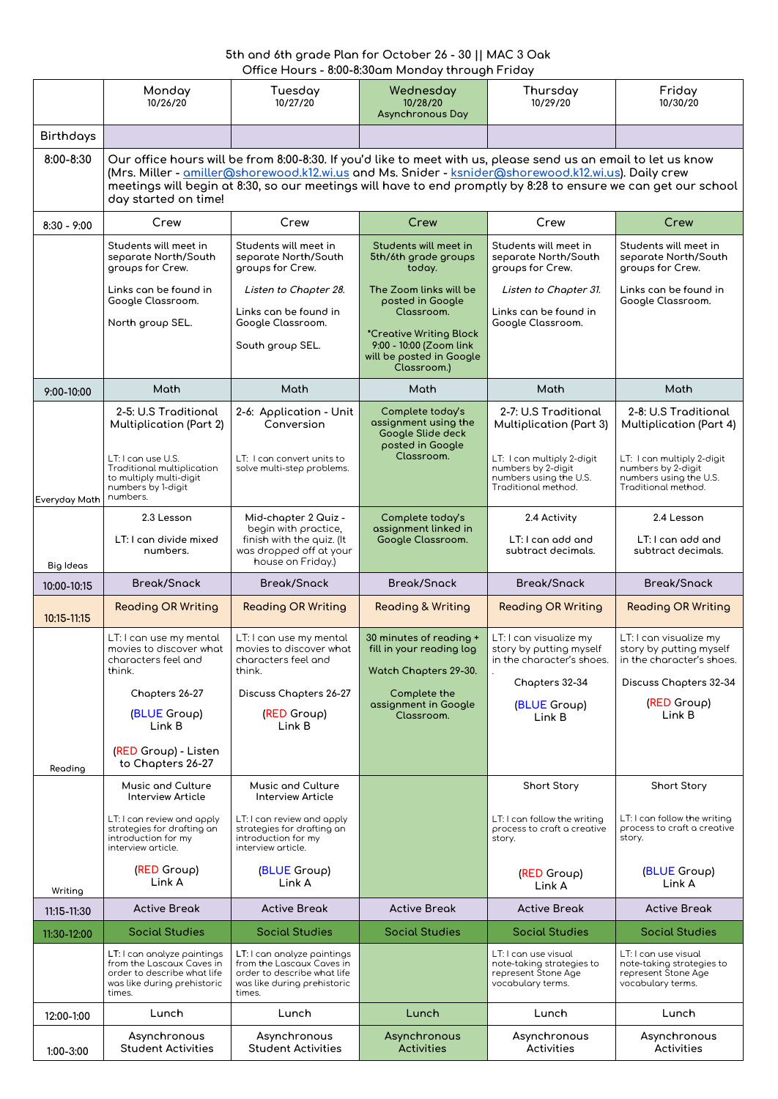## **5th and 6th grade Plan for October 26 - 30 || MAC 3 Oak Office Hours - 8:00-8:30am Monday through Friday**

|                  | Monday<br>10/26/20                                                                                                                                                                                                                                                                                                                                               | Tuesday<br>10/27/20                                                                                                              | Wednesday<br>10/28/20<br><b>Asynchronous Day</b>                                  | Thursday<br>10/29/20                                                                              | Friday<br>10/30/20                                                                                |  |
|------------------|------------------------------------------------------------------------------------------------------------------------------------------------------------------------------------------------------------------------------------------------------------------------------------------------------------------------------------------------------------------|----------------------------------------------------------------------------------------------------------------------------------|-----------------------------------------------------------------------------------|---------------------------------------------------------------------------------------------------|---------------------------------------------------------------------------------------------------|--|
| <b>Birthdays</b> |                                                                                                                                                                                                                                                                                                                                                                  |                                                                                                                                  |                                                                                   |                                                                                                   |                                                                                                   |  |
| 8:00-8:30        | Our office hours will be from 8:00-8:30. If you'd like to meet with us, please send us an email to let us know<br>(Mrs. Miller - amiller@shorewood.k12.wi.us and Ms. Snider - ksnider@shorewood.k12.wi.us). Daily crew<br>meetings will begin at 8:30, so our meetings will have to end promptly by 8:28 to ensure we can get our school<br>day started on time! |                                                                                                                                  |                                                                                   |                                                                                                   |                                                                                                   |  |
| $8:30 - 9:00$    | Crew                                                                                                                                                                                                                                                                                                                                                             | Crew                                                                                                                             | Crew                                                                              | Crew                                                                                              | Crew                                                                                              |  |
|                  | Students will meet in<br>separate North/South<br>groups for Crew.                                                                                                                                                                                                                                                                                                | Students will meet in<br>separate North/South<br>groups for Crew.                                                                | Students will meet in<br>5th/6th grade groups<br>today.                           | Students will meet in<br>separate North/South<br>groups for Crew.                                 | Students will meet in<br>separate North/South<br>groups for Crew.                                 |  |
|                  | Links can be found in<br>Google Classroom.                                                                                                                                                                                                                                                                                                                       | Listen to Chapter 28.<br>Links can be found in                                                                                   | The Zoom links will be<br>posted in Google<br>Classroom.                          | Listen to Chapter 31.<br>Links can be found in                                                    | Links can be found in<br>Google Classroom.                                                        |  |
|                  | North group SEL.                                                                                                                                                                                                                                                                                                                                                 | Google Classroom.<br>South group SEL.                                                                                            | *Creative Writing Block<br>9:00 - 10:00 (Zoom link<br>will be posted in Google    | Google Classroom.                                                                                 |                                                                                                   |  |
|                  |                                                                                                                                                                                                                                                                                                                                                                  |                                                                                                                                  | Classroom.)                                                                       |                                                                                                   |                                                                                                   |  |
| 9:00-10:00       | <b>Math</b>                                                                                                                                                                                                                                                                                                                                                      | Math                                                                                                                             | Math                                                                              | Math                                                                                              | Math                                                                                              |  |
|                  | 2-5: U.S Traditional<br><b>Multiplication (Part 2)</b>                                                                                                                                                                                                                                                                                                           | 2-6: Application - Unit<br>Conversion                                                                                            | Complete today's<br>assignment using the<br>Google Slide deck<br>posted in Google | 2-7: U.S Traditional<br><b>Multiplication (Part 3)</b>                                            | 2-8: U.S Traditional<br><b>Multiplication (Part 4)</b>                                            |  |
| Everyday Math    | LT: I can use U.S.<br><b>Traditional multiplication</b><br>to multiply multi-digit<br>numbers by 1-digit<br>numbers.                                                                                                                                                                                                                                             | LT: I can convert units to<br>solve multi-step problems.                                                                         | Classroom.                                                                        | LT: I can multiply 2-digit<br>numbers by 2-digit<br>numbers using the U.S.<br>Traditional method. | LT: I can multiply 2-digit<br>numbers by 2-digit<br>numbers using the U.S.<br>Traditional method. |  |
|                  | 2.3 Lesson                                                                                                                                                                                                                                                                                                                                                       | Mid-chapter 2 Quiz -<br>begin with practice,                                                                                     | Complete today's<br>assignment linked in                                          | 2.4 Activity                                                                                      | 2.4 Lesson                                                                                        |  |
| <b>Big Ideas</b> | LT: I can divide mixed<br>numbers.                                                                                                                                                                                                                                                                                                                               | finish with the quiz. (It<br>was dropped off at your<br>house on Friday.)                                                        | Google Classroom.                                                                 | LT: I can add and<br>subtract decimals.                                                           | LT: I can add and<br>subtract decimals.                                                           |  |
|                  |                                                                                                                                                                                                                                                                                                                                                                  |                                                                                                                                  |                                                                                   |                                                                                                   |                                                                                                   |  |
| 10:00-10:15      | <b>Break/Snack</b>                                                                                                                                                                                                                                                                                                                                               | <b>Break/Snack</b>                                                                                                               | <b>Break/Snack</b>                                                                | <b>Break/Snack</b>                                                                                | <b>Break/Snack</b>                                                                                |  |
| 10:15-11:15      | <b>Reading OR Writing</b>                                                                                                                                                                                                                                                                                                                                        | <b>Reading OR Writing</b>                                                                                                        | <b>Reading &amp; Writing</b>                                                      | <b>Reading OR Writing</b>                                                                         | <b>Reading OR Writing</b>                                                                         |  |
|                  | LT: I can use my mental<br>movies to discover what<br>characters feel and<br>think.                                                                                                                                                                                                                                                                              | LT: I can use my mental<br>movies to discover what<br>characters feel and<br>think.                                              | 30 minutes of reading +<br>fill in your reading log<br>Watch Chapters 29-30.      | LT: I can visualize my<br>story by putting myself<br>in the character's shoes.                    | LT: I can visualize my<br>story by putting myself<br>in the character's shoes.                    |  |
|                  | Chapters 26-27                                                                                                                                                                                                                                                                                                                                                   | <b>Discuss Chapters 26-27</b>                                                                                                    | Complete the                                                                      | Chapters 32-34                                                                                    | <b>Discuss Chapters 32-34</b>                                                                     |  |
|                  | (BLUE Group)<br>Link B                                                                                                                                                                                                                                                                                                                                           | (RED Group)<br>Link B                                                                                                            | assignment in Google<br>Classroom.                                                | (BLUE Group)<br>Link B                                                                            | (RED Group)<br>Link B                                                                             |  |
| Reading          | (RED Group) - Listen<br>to Chapters 26-27                                                                                                                                                                                                                                                                                                                        |                                                                                                                                  |                                                                                   |                                                                                                   |                                                                                                   |  |
|                  | Music and Culture<br><b>Interview Article</b>                                                                                                                                                                                                                                                                                                                    | Music and Culture<br><b>Interview Article</b>                                                                                    |                                                                                   | <b>Short Story</b>                                                                                | <b>Short Story</b>                                                                                |  |
|                  | LT: I can review and apply<br>strategies for drafting an<br>introduction for my<br>interview article.                                                                                                                                                                                                                                                            | LT: I can review and apply<br>strategies for drafting an<br>introduction for my<br>interview article.                            |                                                                                   | LT: I can follow the writing<br>process to craft a creative<br>story.                             | LT: I can follow the writing<br>process to craft a creative<br>story.                             |  |
| Writing          | (RED Group)<br>Link A                                                                                                                                                                                                                                                                                                                                            | (BLUE Group)<br>Link A                                                                                                           |                                                                                   | (RED Group)<br>Link A                                                                             | (BLUE Group)<br>Link A                                                                            |  |
| 11:15-11:30      | <b>Active Break</b>                                                                                                                                                                                                                                                                                                                                              | <b>Active Break</b>                                                                                                              | <b>Active Break</b>                                                               | <b>Active Break</b>                                                                               | <b>Active Break</b>                                                                               |  |
| 11:30-12:00      | <b>Social Studies</b>                                                                                                                                                                                                                                                                                                                                            | <b>Social Studies</b>                                                                                                            | <b>Social Studies</b>                                                             | <b>Social Studies</b>                                                                             | <b>Social Studies</b>                                                                             |  |
|                  | LT: I can analyze paintings<br>from the Lascaux Caves in<br>order to describe what life<br>was like during prehistoric<br>times.                                                                                                                                                                                                                                 | LT: I can analyze paintings<br>from the Lascaux Caves in<br>order to describe what life<br>was like during prehistoric<br>times. |                                                                                   | LT: I can use visual<br>note-taking strategies to<br>represent Stone Age<br>vocabulary terms.     | LT: I can use visual<br>note-taking strategies to<br>represent Stone Age<br>vocabulary terms.     |  |
| 12:00-1:00       | Lunch                                                                                                                                                                                                                                                                                                                                                            | Lunch                                                                                                                            | Lunch                                                                             | Lunch                                                                                             | Lunch                                                                                             |  |